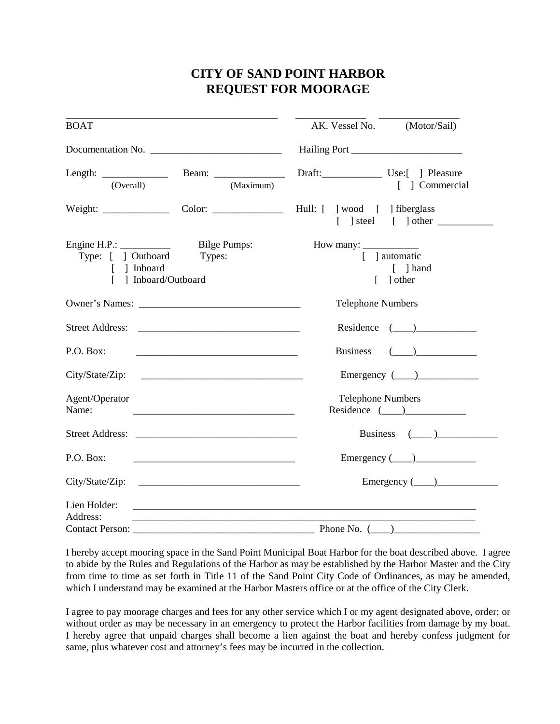## **CITY OF SAND POINT HARBOR REQUEST FOR MOORAGE**

| <b>BOAT</b>                                                                                                                                                     | AK. Vessel No. (Motor/Sail)                                                                                      |
|-----------------------------------------------------------------------------------------------------------------------------------------------------------------|------------------------------------------------------------------------------------------------------------------|
|                                                                                                                                                                 |                                                                                                                  |
| (Overall)<br>(Maximum)                                                                                                                                          | Draft: Use:[ ] Pleasure<br>[ ] Commercial                                                                        |
| Weight: Color: Color: Hull: [ ] wood [ ] fiberglass                                                                                                             | $\begin{bmatrix} \end{bmatrix}$ steel $\begin{bmatrix} \end{bmatrix}$ other                                      |
| Engine H.P.: $\qquad \qquad$<br><b>Bilge Pumps:</b><br>Type: [ ] Outboard<br>Types:<br>[ ] Inboard<br>] Inboard/Outboard                                        | [ ] automatic<br>$\lceil$ ] hand<br>$\lceil$ other                                                               |
|                                                                                                                                                                 | <b>Telephone Numbers</b>                                                                                         |
|                                                                                                                                                                 | Residence $(\_\_)$                                                                                               |
| P.O. Box:                                                                                                                                                       | $\begin{pmatrix} 1 & 1 \\ 1 & 1 \end{pmatrix}$<br><b>Business</b>                                                |
| City/State/Zip:                                                                                                                                                 | Emergency $(\_\_)$                                                                                               |
| Agent/Operator<br>Name:<br><u> 1980 - Jan James James Barnett, marror eta biztanleria (h. 1980).</u>                                                            | <b>Telephone Numbers</b><br>Residence $(\_\_)$                                                                   |
|                                                                                                                                                                 | Business $(\_\_)$                                                                                                |
| P.O. Box:<br><u> 2000 - Jan Barnett, mars et al. (</u>                                                                                                          | Emergency $(\_\_)$                                                                                               |
|                                                                                                                                                                 | Emergency $(\_\_)$                                                                                               |
| Lien Holder:<br><u> 1980 - Johann Barn, mars an deus Amerikaansk kommunister (* 1950)</u><br>Address:<br><u> 1989 - Jan Barnett, fransk politiker (d. 1989)</u> |                                                                                                                  |
|                                                                                                                                                                 | Phone No. (<br>$\begin{tabular}{ c c c } \hline \quad \quad & \quad \quad & \quad \quad \\ \hline \end{tabular}$ |

I hereby accept mooring space in the Sand Point Municipal Boat Harbor for the boat described above. I agree to abide by the Rules and Regulations of the Harbor as may be established by the Harbor Master and the City from time to time as set forth in Title 11 of the Sand Point City Code of Ordinances, as may be amended, which I understand may be examined at the Harbor Masters office or at the office of the City Clerk.

I agree to pay moorage charges and fees for any other service which I or my agent designated above, order; or without order as may be necessary in an emergency to protect the Harbor facilities from damage by my boat. I hereby agree that unpaid charges shall become a lien against the boat and hereby confess judgment for same, plus whatever cost and attorney's fees may be incurred in the collection.